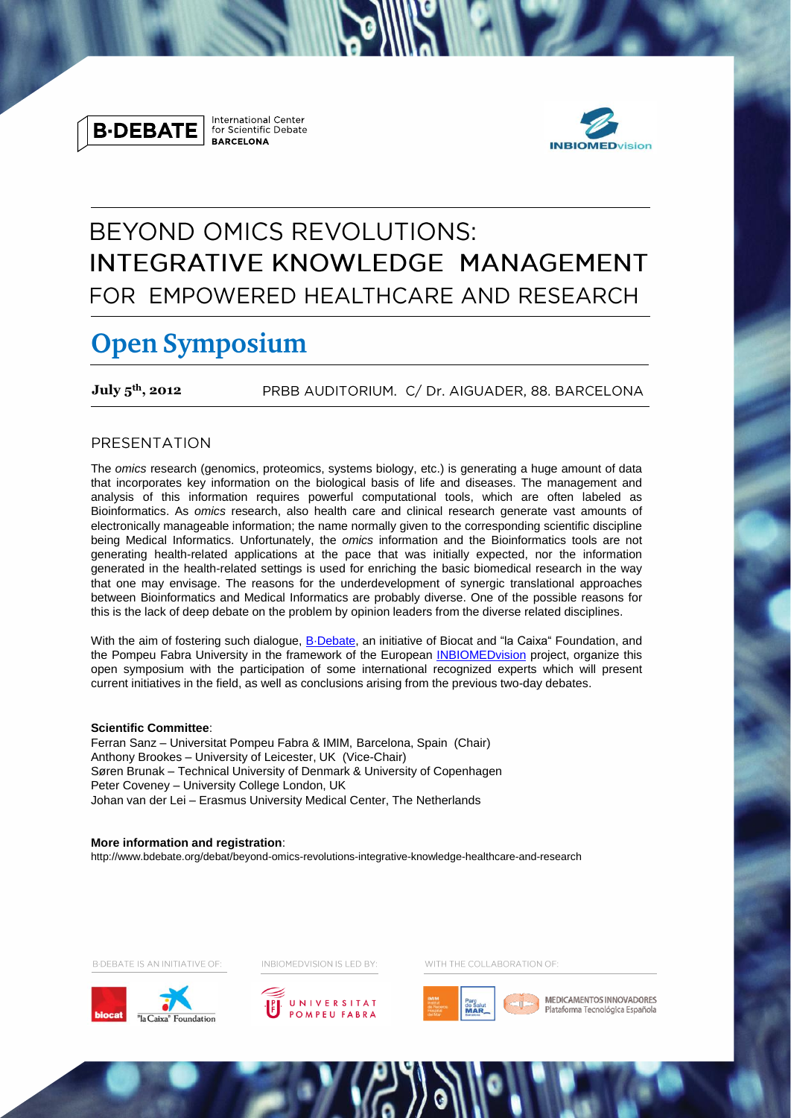

**International Center** for Scientific Debate **BARCELONA** 



# **BEYOND OMICS REVOLUTIONS:** INTEGRATIVE KNOWLEDGE MANAGEMENT FOR EMPOWERED HEALTHCARE AND RESEARCH

## **Open Symposium**

**July 5 th, 2012** PRBB AUDITORIUM. C/ Dr. AIGUADER, 88. BARCELONA

## PRESENTATION

The *omics* research (genomics, proteomics, systems biology, etc.) is generating a huge amount of data that incorporates key information on the biological basis of life and diseases. The management and analysis of this information requires powerful computational tools, which are often labeled as Bioinformatics. As *omics* research, also health care and clinical research generate vast amounts of electronically manageable information; the name normally given to the corresponding scientific discipline being Medical Informatics. Unfortunately, the *omics* information and the Bioinformatics tools are not generating health-related applications at the pace that was initially expected, nor the information generated in the health-related settings is used for enriching the basic biomedical research in the way that one may envisage. The reasons for the underdevelopment of synergic translational approaches between Bioinformatics and Medical Informatics are probably diverse. One of the possible reasons for this is the lack of deep debate on the problem by opinion leaders from the diverse related disciplines.

With the aim of fostering such dialogue, B-Debate, an initiative of Biocat and "la Caixa" Foundation, and the Pompeu Fabra University in the framework of the European [INBIOMEDvision](http://www.inbiomedvision.eu/) project, organize this open symposium with the participation of some international recognized experts which will present current initiatives in the field, as well as conclusions arising from the previous two-day debates.

## **Scientific Committee**:

Ferran Sanz – Universitat Pompeu Fabra & IMIM, Barcelona, Spain (Chair) Anthony Brookes – University of Leicester, UK (Vice-Chair) Søren Brunak – Technical University of Denmark & University of Copenhagen Peter Coveney – University College London, UK Johan van der Lei – Erasmus University Medical Center, The Netherlands

### **More information and registration**:

http://www.bdebate.org/debat/beyond-omics-revolutions-integrative-knowledge-healthcare-and-research

**B-DEBATE IS AN INITIATIVE OF:** 





INBIOMEDVISION IS LED BY:

WITH THE COLLABORATION OF:



MEDICAMENTOS INNOVADORES Plataforma Tecnológica Española